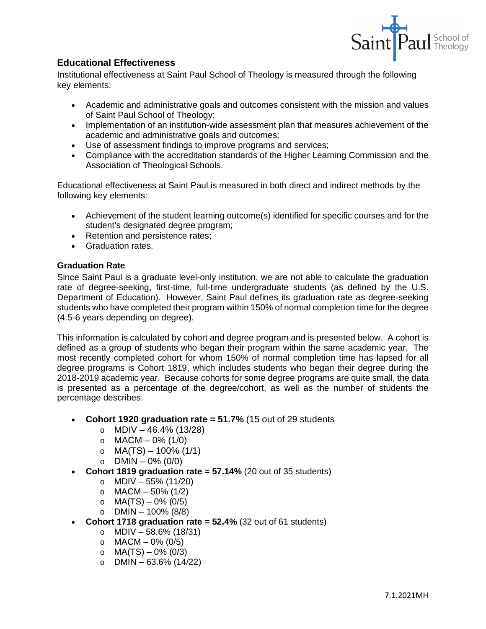

# **Educational Effectiveness**

Institutional effectiveness at Saint Paul School of Theology is measured through the following key elements:

- Academic and administrative goals and outcomes consistent with the mission and values of Saint Paul School of Theology;
- Implementation of an institution-wide assessment plan that measures achievement of the academic and administrative goals and outcomes;
- Use of assessment findings to improve programs and services;
- Compliance with the accreditation standards of the Higher Learning Commission and the Association of Theological Schools.

Educational effectiveness at Saint Paul is measured in both direct and indirect methods by the following key elements:

- Achievement of the student learning outcome(s) identified for specific courses and for the student's designated degree program;
- Retention and persistence rates;
- Graduation rates.

## **Graduation Rate**

Since Saint Paul is a graduate level-only institution, we are not able to calculate the graduation rate of degree-seeking, first-time, full-time undergraduate students (as defined by the U.S. Department of Education). However, Saint Paul defines its graduation rate as degree-seeking students who have completed their program within 150% of normal completion time for the degree (4.5-6 years depending on degree).

This information is calculated by cohort and degree program and is presented below. A cohort is defined as a group of students who began their program within the same academic year. The most recently completed cohort for whom 150% of normal completion time has lapsed for all degree programs is Cohort 1819, which includes students who began their degree during the 2018-2019 academic year. Because cohorts for some degree programs are quite small, the data is presented as a percentage of the degree/cohort, as well as the number of students the percentage describes.

- **Cohort 1920 graduation rate = 51.7%** (15 out of 29 students
	- $O$  MDIV 46.4% (13/28)
	- $\circ$  MACM 0% (1/0)
	- $O$  MA(TS) 100% (1/1)
	- $O$  DMIN 0% (0/0)
- **Cohort 1819 graduation rate = 57.14%** (20 out of 35 students)
	- $O$  MDIV 55% (11/20)
	- $O$  MACM 50% (1/2)
	- $O$  MA(TS) 0% (0/5)
	- $O$  DMIN 100% (8/8)
	- **Cohort 1718 graduation rate = 52.4%** (32 out of 61 students)
		- $O$  MDIV 58.6% (18/31)
			- $O$  MACM 0% (0/5)
			- $O$  MA(TS) 0% (0/3)
			- $O$  DMIN 63.6% (14/22)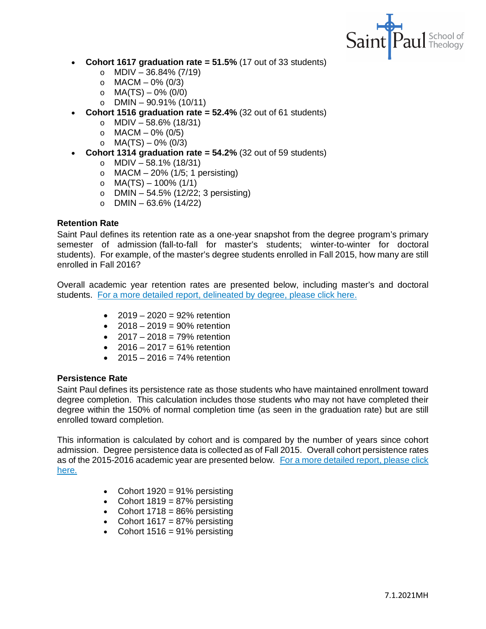

- **Cohort 1617 graduation rate = 51.5%** (17 out of 33 students)
	- $O$  MDIV 36.84% (7/19)
	- $O$  MACM 0% (0/3)
	- $O$  MA(TS) 0% (0/0)
	- $O$  DMIN 90.91% (10/11)
- **Cohort 1516 graduation rate = 52.4%** (32 out of 61 students)
	- $O$  MDIV 58.6% (18/31)
	- $O$  MACM 0% (0/5)
	- $O$  MA(TS) 0% (0/3)
- **Cohort 1314 graduation rate = 54.2%** (32 out of 59 students)
	- $O$  MDIV 58.1% (18/31)
	- $\circ$  MACM 20% (1/5; 1 persisting)
	- $O$  MA(TS) 100% (1/1)
	- o DMIN  $54.5\%$  (12/22; 3 persisting)
	- $\circ$  DMIN 63.6% (14/22)

### **Retention Rate**

Saint Paul defines its retention rate as a one-year snapshot from the degree program's primary semester of admission (fall-to-fall for master's students; winter-to-winter for doctoral students). For example, of the master's degree students enrolled in Fall 2015, how many are still enrolled in Fall 2016?

Overall academic year retention rates are presented below, including master's and doctoral students. [For a more detailed report, delineated by degree, please click here.](https://www.spst.edu/wp-content/uploads/2014/12/AY2015-2016-Retention-Report.pdf)

- $2019 2020 = 92\%$  retention
- $2018 2019 = 90\%$  retention
- $2017 2018 = 79\%$  retention
- $2016 2017 = 61\%$  retention
- $2015 2016 = 74\%$  retention

#### **Persistence Rate**

Saint Paul defines its persistence rate as those students who have maintained enrollment toward degree completion. This calculation includes those students who may not have completed their degree within the 150% of normal completion time (as seen in the graduation rate) but are still enrolled toward completion.

This information is calculated by cohort and is compared by the number of years since cohort admission. Degree persistence data is collected as of Fall 2015. Overall cohort persistence rates as of the 2015-2016 academic year are presented below. [For a more detailed report, please click](https://www.spst.edu/wp-content/uploads/2014/12/AY2015-2016-Persistence-Report.pdf)  [here.](https://www.spst.edu/wp-content/uploads/2014/12/AY2015-2016-Persistence-Report.pdf)

- Cohort  $1920 = 91\%$  persisting
- Cohort  $1819 = 87\%$  persisting
- Cohort  $1718 = 86\%$  persisting
- Cohort  $1617 = 87\%$  persisting
- Cohort  $1516 = 91\%$  persisting